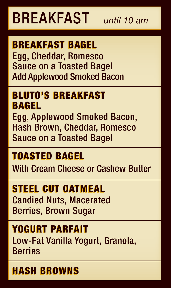### Candied Nuts, Macerated Berries, Brown Sugar STEEL CUT OATMEAL

Egg, Applewood Smoked Bacon, Hash Brown, Cheddar, Romesco Sauce on a Toasted Bagel

### TOASTED BAGEL

### BLUTO'S BREAKFAST BAGEL

With Cream Cheese or Cashew Butter

### YOGURT PARFAIT Low-Fat Vanilla Yogurt, Granola, Berries

### HASH BROWNS

## BREAKFAST *until 10 am*

### Egg, Cheddar, Romesco Sauce on a Toasted Bagel Add Applewood Smoked Bacon BREAKFAST BAGEL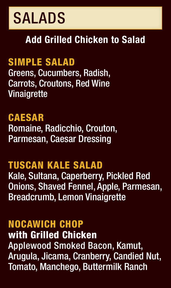### TUSCAN KALE SALAD Kale, Sultana, Caperberry, Pickled Red Onions, Shaved Fennel, Apple, Parmesan, Breadcrumb, Lemon Vinaigrette

### NOCAWICH CHUF



### SIMPLE SALAD

Greens, Cucumbers, Radish, Carrots, Croutons, Red Wine Vinaigrette

### CAESAR Romaine, Radicchio, Crouton, Parmesan, Caesar Dressing

with Grilled Chicken Applewood Smoked Bacon, Kamut, Arugula, Jicama, Cranberry, Candied Nut, Tomato, Manchego, Buttermilk Ranch

### Add Grilled Chicken to Salad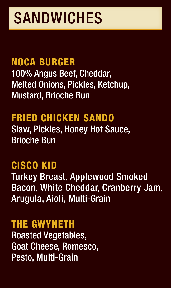# SANDWICHES

### CISCO KID Turkey Breast, Applewood Smoked Bacon, White Cheddar, Cranberry Jam, Arugula, Aioli, Multi-Grain

### Roasted Vegetables, Goat Cheese, Romesco, Pesto, Multi-Grain

### NOCA BURGER 100% Angus Beef, Cheddar, Melted Onions, Pickles, Ketchup, Mustard, Brioche Bun



### FRIED CHICKEN SANDO Slaw, Pickles, Honey Hot Sauce, Brioche Bun